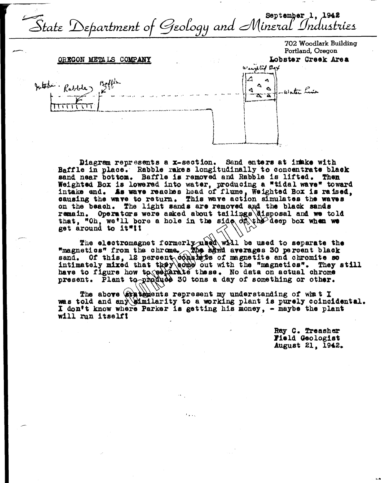September 1, 1942 State Department of Geology and Mineral Industries

## OREGON METALS COMPANY





Diagram represents a x-section. Sand enters at inske with Baffle in place. Rabble rakes longitudinally to concentrate black sand near bottom. Baffle is removed and Rabble is lifted. Then Weighted Box is lowered into water, producing a "tidal wave" toward intake end. As wave reaches head of flume, Weighted Box is raised, causing the wave to return. This wave action simulates the waves on the beach. The light sands are removed and the black sands remain. Operators were asked about tailings disposal and we told that, "Oh, we'll bore a hole in the side  $df\rightarrow dq$  deep box when we get around to it"!!

The electromagnet formerly used will be used to separate the<br>"magnetics" from the chrome. The adrid averages 30 percent black<br>sand. Of this, 12 percent consistes of magnetic and chromite so<br>intimately mixed that they come have to figure how to resperate these. No data on actual chrome present. Plant to produce 30 tons a day of something or other.

The above (at a texted ints represent my understanding of what I was told and any similarity to a working plant is purely coincidental. I don't know where Parker is getting his money, - maybe the plant will run itself!

> Ray C. Treasher Field Geologist August 21, 1942.